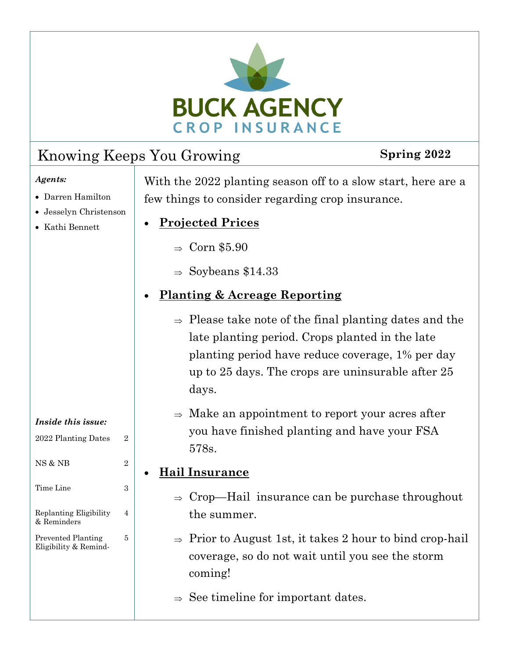

### Knowing Keeps You Growing **Spring 2022**

#### *Agents:*

- · Darren Hamilton
- · Jesselyn Christenson

2022 Planting Dates 2

*Inside this issue:*

NS & NB 2

Time Line 3

4

5

Replanting Eligibility

Prevented Planting Eligibility & Remind-

& Reminders

- · Kathi Bennett
- With the 2022 planting season off to a slow start, here are a few things to consider regarding crop insurance.
- · **Projected Prices**
	- $\Rightarrow$  Corn \$5.90
	- $\Rightarrow$  Soybeans \$14.33

### · **Planting & Acreage Reporting**

- $\Rightarrow$  Please take note of the final planting dates and the late planting period. Crops planted in the late planting period have reduce coverage, 1% per day up to 25 days. The crops are uninsurable after 25 days.
- $\Rightarrow$  Make an appointment to report your acres after you have finished planting and have your FSA 578s.

### · **Hail Insurance**

- $\Rightarrow$  Crop—Hail insurance can be purchase throughout the summer.
- $\Rightarrow$  Prior to August 1st, it takes 2 hour to bind crop-hail coverage, so do not wait until you see the storm coming!
- $\Rightarrow$  See timeline for important dates.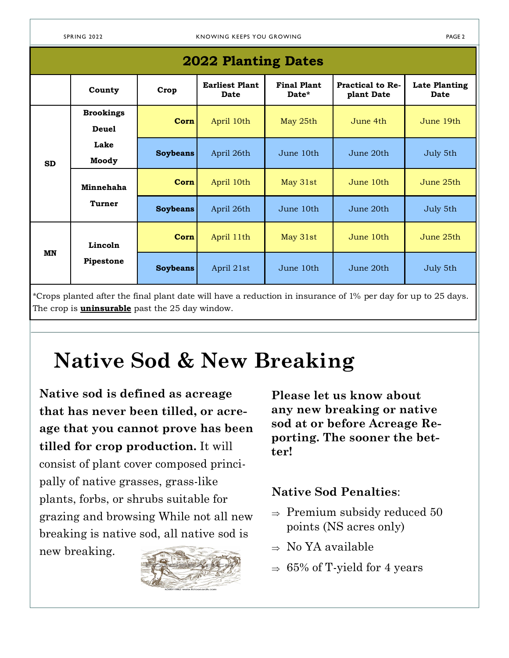| <b>2022 Planting Dates</b> |                                                   |                 |                               |                             |                                       |                                     |  |
|----------------------------|---------------------------------------------------|-----------------|-------------------------------|-----------------------------|---------------------------------------|-------------------------------------|--|
|                            | County                                            | Crop            | <b>Earliest Plant</b><br>Date | <b>Final Plant</b><br>Date* | <b>Practical to Re-</b><br>plant Date | <b>Late Planting</b><br><b>Date</b> |  |
| <b>SD</b>                  | <b>Brookings</b><br><b>Deuel</b><br>Lake<br>Moody | Corn            | April 10th                    | May 25th                    | June 4th                              | June 19th                           |  |
|                            |                                                   | <b>Soybeans</b> | April 26th                    | June 10th                   | June 20th                             | July 5th                            |  |
|                            | Minnehaha<br><b>Turner</b>                        | Corn            | April 10th                    | May 31st                    | June 10th                             | June 25th                           |  |
|                            |                                                   | <b>Soybeans</b> | April 26th                    | June 10th                   | June 20th                             | July 5th                            |  |
| MN                         | Lincoln<br>Pipestone                              | Corn            | April 11th                    | May 31st                    | June 10th                             | June 25th                           |  |
|                            |                                                   | <b>Soybeans</b> | April 21st                    | June 10th                   | June 20th                             | July 5th                            |  |

\*Crops planted after the final plant date will have a reduction in insurance of 1% per day for up to 25 days. The crop is **uninsurable** past the 25 day window.

# **Native Sod & New Breaking**

**Native sod is defined as acreage that has never been tilled, or acreage that you cannot prove has been tilled for crop production.** It will consist of plant cover composed principally of native grasses, grass-like plants, forbs, or shrubs suitable for grazing and browsing While not all new breaking is native sod, all native sod is

new breaking.



**Please let us know about any new breaking or native sod at or before Acreage Reporting. The sooner the better!**

#### **Native Sod Penalties**:

- $\Rightarrow$  Premium subsidy reduced 50 points (NS acres only)
- $\Rightarrow$  No YA available
- $\Rightarrow$  65% of T-yield for 4 years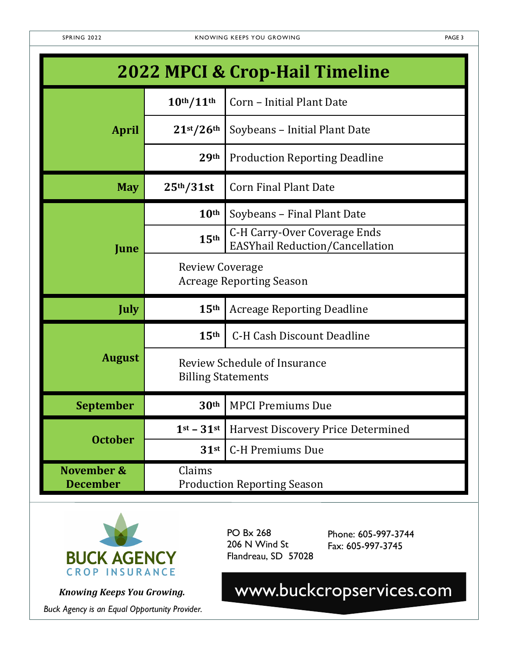| <b>2022 MPCI &amp; Crop-Hail Timeline</b> |                                                                  |                                                                               |  |  |  |
|-------------------------------------------|------------------------------------------------------------------|-------------------------------------------------------------------------------|--|--|--|
|                                           | 10 <sup>th</sup> /11 <sup>th</sup>                               | Corn - Initial Plant Date                                                     |  |  |  |
| <b>April</b>                              | 21 <sup>st</sup> /26 <sup>th</sup>                               | Soybeans - Initial Plant Date                                                 |  |  |  |
|                                           | 29th                                                             | <b>Production Reporting Deadline</b>                                          |  |  |  |
| <b>May</b>                                | 25 <sup>th</sup> /31st                                           | <b>Corn Final Plant Date</b>                                                  |  |  |  |
|                                           | 10 <sup>th</sup>                                                 | Soybeans - Final Plant Date                                                   |  |  |  |
| June                                      | 15 <sup>th</sup>                                                 | <b>C-H Carry-Over Coverage Ends</b><br><b>EASYhail Reduction/Cancellation</b> |  |  |  |
|                                           | <b>Review Coverage</b><br><b>Acreage Reporting Season</b>        |                                                                               |  |  |  |
| <b>July</b>                               | 15th                                                             | <b>Acreage Reporting Deadline</b>                                             |  |  |  |
|                                           | 15 <sup>th</sup>                                                 | <b>C-H Cash Discount Deadline</b>                                             |  |  |  |
| <b>August</b>                             | <b>Review Schedule of Insurance</b><br><b>Billing Statements</b> |                                                                               |  |  |  |
| <b>September</b>                          | 30 <sup>th</sup>                                                 | <b>MPCI Premiums Due</b>                                                      |  |  |  |
|                                           | $1st - 31st$                                                     | Harvest Discovery Price Determined                                            |  |  |  |
| <b>October</b>                            | $31$ st                                                          | <b>C-H Premiums Due</b>                                                       |  |  |  |
| November &<br><b>December</b>             | Claims<br><b>Production Reporting Season</b>                     |                                                                               |  |  |  |



*Buck Agency is an Equal Opportunity Provider.*

PO Bx 268 206 N Wind St Flandreau, SD 57028

Phone: 605-997-3744 Fax: 605-997-3745

*Knowing Keeps You Growing.* www.buckcropservices.com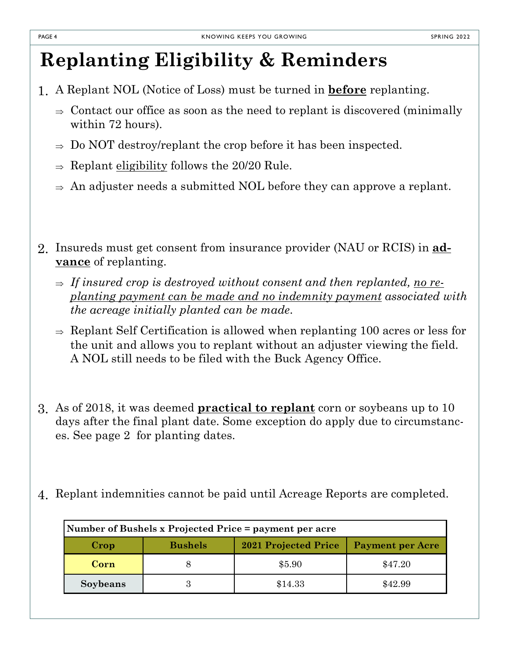### **Replanting Eligibility & Reminders**

- 1. A Replant NOL (Notice of Loss) must be turned in **before** replanting.
	- $\Rightarrow$  Contact our office as soon as the need to replant is discovered (minimally within 72 hours).
	- $\Rightarrow$  Do NOT destroy/replant the crop before it has been inspected.
	- $\Rightarrow$  Replant eligibility follows the 20/20 Rule.
	- $\Rightarrow$  An adjuster needs a submitted NOL before they can approve a replant.
- 2. Insureds must get consent from insurance provider (NAU or RCIS) in **advance** of replanting.
	- $\Rightarrow$  If insured crop is destroyed without consent and then replanted, no re*planting payment can be made and no indemnity payment associated with the acreage initially planted can be made*.
	- $\Rightarrow$  Replant Self Certification is allowed when replanting 100 acres or less for the unit and allows you to replant without an adjuster viewing the field. A NOL still needs to be filed with the Buck Agency Office.
- 3. As of 2018, it was deemed **practical to replant** corn or soybeans up to 10 days after the final plant date. Some exception do apply due to circumstances. See page 2 for planting dates.
- 4. Replant indemnities cannot be paid until Acreage Reports are completed.

| Number of Bushels x Projected Price = payment per acre |                |                             |                         |  |  |  |
|--------------------------------------------------------|----------------|-----------------------------|-------------------------|--|--|--|
| Crop                                                   | <b>Bushels</b> | <b>2021 Projected Price</b> | <b>Payment per Acre</b> |  |  |  |
| Corn                                                   |                | \$5.90                      | \$47.20                 |  |  |  |
| Soybeans                                               | 3              | \$14.33                     | \$42.99                 |  |  |  |